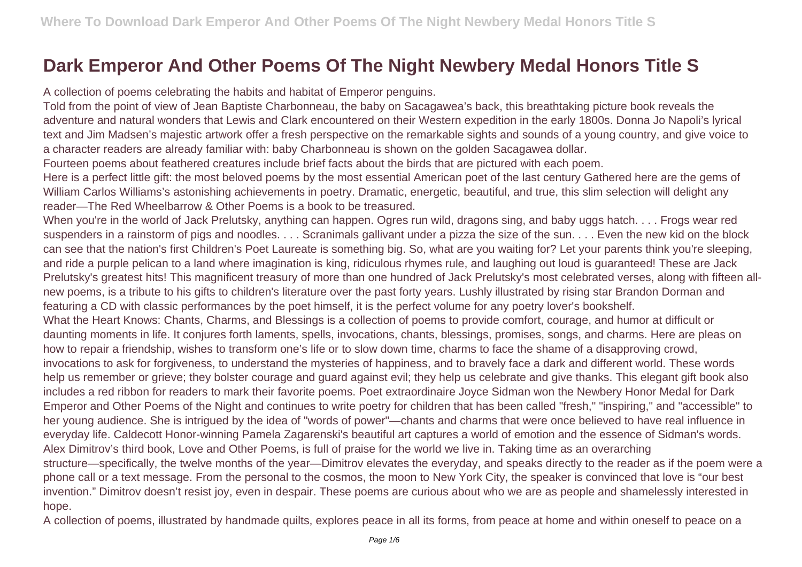## **Dark Emperor And Other Poems Of The Night Newbery Medal Honors Title S**

A collection of poems celebrating the habits and habitat of Emperor penguins.

Told from the point of view of Jean Baptiste Charbonneau, the baby on Sacagawea's back, this breathtaking picture book reveals the adventure and natural wonders that Lewis and Clark encountered on their Western expedition in the early 1800s. Donna Jo Napoli's lyrical text and Jim Madsen's majestic artwork offer a fresh perspective on the remarkable sights and sounds of a young country, and give voice to a character readers are already familiar with: baby Charbonneau is shown on the golden Sacagawea dollar.

Fourteen poems about feathered creatures include brief facts about the birds that are pictured with each poem.

Here is a perfect little gift: the most beloved poems by the most essential American poet of the last century Gathered here are the gems of William Carlos Williams's astonishing achievements in poetry. Dramatic, energetic, beautiful, and true, this slim selection will delight any reader—The Red Wheelbarrow & Other Poems is a book to be treasured.

When you're in the world of Jack Prelutsky, anything can happen. Ogres run wild, dragons sing, and baby uggs hatch. . . . Frogs wear red suspenders in a rainstorm of pigs and noodles. . . . Scranimals gallivant under a pizza the size of the sun. . . . Even the new kid on the block can see that the nation's first Children's Poet Laureate is something big. So, what are you waiting for? Let your parents think you're sleeping, and ride a purple pelican to a land where imagination is king, ridiculous rhymes rule, and laughing out loud is guaranteed! These are Jack Prelutsky's greatest hits! This magnificent treasury of more than one hundred of Jack Prelutsky's most celebrated verses, along with fifteen allnew poems, is a tribute to his gifts to children's literature over the past forty years. Lushly illustrated by rising star Brandon Dorman and featuring a CD with classic performances by the poet himself, it is the perfect volume for any poetry lover's bookshelf.

What the Heart Knows: Chants, Charms, and Blessings is a collection of poems to provide comfort, courage, and humor at difficult or daunting moments in life. It conjures forth laments, spells, invocations, chants, blessings, promises, songs, and charms. Here are pleas on how to repair a friendship, wishes to transform one's life or to slow down time, charms to face the shame of a disapproving crowd, invocations to ask for forgiveness, to understand the mysteries of happiness, and to bravely face a dark and different world. These words help us remember or grieve; they bolster courage and guard against evil; they help us celebrate and give thanks. This elegant gift book also includes a red ribbon for readers to mark their favorite poems. Poet extraordinaire Joyce Sidman won the Newbery Honor Medal for Dark Emperor and Other Poems of the Night and continues to write poetry for children that has been called "fresh," "inspiring," and "accessible" to her young audience. She is intrigued by the idea of "words of power"—chants and charms that were once believed to have real influence in everyday life. Caldecott Honor-winning Pamela Zagarenski's beautiful art captures a world of emotion and the essence of Sidman's words. Alex Dimitrov's third book, Love and Other Poems, is full of praise for the world we live in. Taking time as an overarching structure—specifically, the twelve months of the year—Dimitrov elevates the everyday, and speaks directly to the reader as if the poem were a phone call or a text message. From the personal to the cosmos, the moon to New York City, the speaker is convinced that love is "our best invention." Dimitrov doesn't resist joy, even in despair. These poems are curious about who we are as people and shamelessly interested in hope.

A collection of poems, illustrated by handmade quilts, explores peace in all its forms, from peace at home and within oneself to peace on a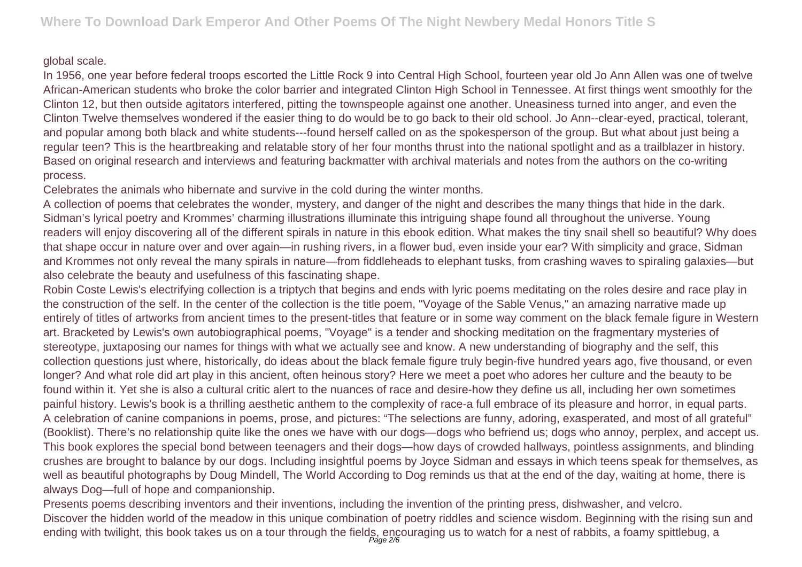## global scale.

In 1956, one year before federal troops escorted the Little Rock 9 into Central High School, fourteen year old Jo Ann Allen was one of twelve African-American students who broke the color barrier and integrated Clinton High School in Tennessee. At first things went smoothly for the Clinton 12, but then outside agitators interfered, pitting the townspeople against one another. Uneasiness turned into anger, and even the Clinton Twelve themselves wondered if the easier thing to do would be to go back to their old school. Jo Ann--clear-eyed, practical, tolerant, and popular among both black and white students---found herself called on as the spokesperson of the group. But what about just being a regular teen? This is the heartbreaking and relatable story of her four months thrust into the national spotlight and as a trailblazer in history. Based on original research and interviews and featuring backmatter with archival materials and notes from the authors on the co-writing process.

Celebrates the animals who hibernate and survive in the cold during the winter months.

A collection of poems that celebrates the wonder, mystery, and danger of the night and describes the many things that hide in the dark. Sidman's lyrical poetry and Krommes' charming illustrations illuminate this intriguing shape found all throughout the universe. Young readers will enjoy discovering all of the different spirals in nature in this ebook edition. What makes the tiny snail shell so beautiful? Why does that shape occur in nature over and over again—in rushing rivers, in a flower bud, even inside your ear? With simplicity and grace, Sidman and Krommes not only reveal the many spirals in nature—from fiddleheads to elephant tusks, from crashing waves to spiraling galaxies—but also celebrate the beauty and usefulness of this fascinating shape.

Robin Coste Lewis's electrifying collection is a triptych that begins and ends with lyric poems meditating on the roles desire and race play in the construction of the self. In the center of the collection is the title poem, "Voyage of the Sable Venus," an amazing narrative made up entirely of titles of artworks from ancient times to the present-titles that feature or in some way comment on the black female figure in Western art. Bracketed by Lewis's own autobiographical poems, "Voyage" is a tender and shocking meditation on the fragmentary mysteries of stereotype, juxtaposing our names for things with what we actually see and know. A new understanding of biography and the self, this collection questions just where, historically, do ideas about the black female figure truly begin-five hundred years ago, five thousand, or even longer? And what role did art play in this ancient, often heinous story? Here we meet a poet who adores her culture and the beauty to be found within it. Yet she is also a cultural critic alert to the nuances of race and desire-how they define us all, including her own sometimes painful history. Lewis's book is a thrilling aesthetic anthem to the complexity of race-a full embrace of its pleasure and horror, in equal parts. A celebration of canine companions in poems, prose, and pictures: "The selections are funny, adoring, exasperated, and most of all grateful" (Booklist). There's no relationship quite like the ones we have with our dogs—dogs who befriend us; dogs who annoy, perplex, and accept us. This book explores the special bond between teenagers and their dogs—how days of crowded hallways, pointless assignments, and blinding crushes are brought to balance by our dogs. Including insightful poems by Joyce Sidman and essays in which teens speak for themselves, as well as beautiful photographs by Doug Mindell, The World According to Dog reminds us that at the end of the day, waiting at home, there is always Dog—full of hope and companionship.

Presents poems describing inventors and their inventions, including the invention of the printing press, dishwasher, and velcro. Discover the hidden world of the meadow in this unique combination of poetry riddles and science wisdom. Beginning with the rising sun and ending with twilight, this book takes us on a tour through the fields, encouraging us to watch for a nest of rabbits, a foamy spittlebug, a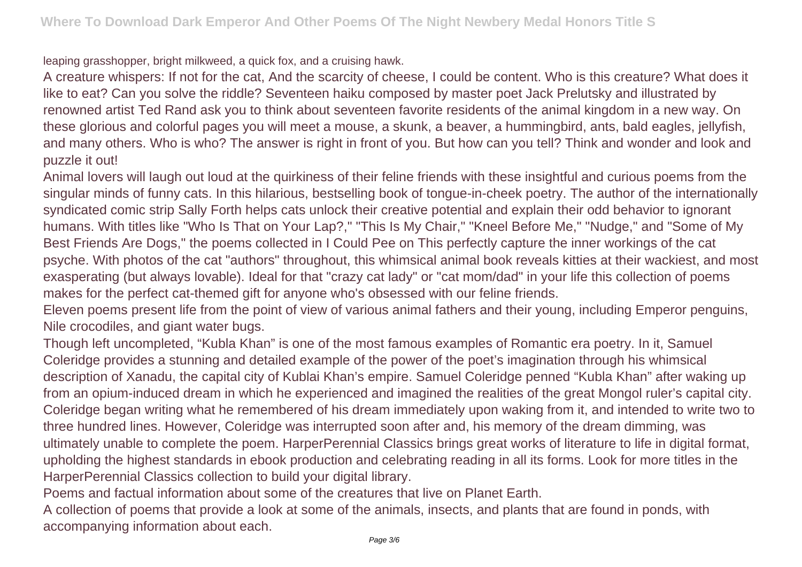leaping grasshopper, bright milkweed, a quick fox, and a cruising hawk.

A creature whispers: If not for the cat, And the scarcity of cheese, I could be content. Who is this creature? What does it like to eat? Can you solve the riddle? Seventeen haiku composed by master poet Jack Prelutsky and illustrated by renowned artist Ted Rand ask you to think about seventeen favorite residents of the animal kingdom in a new way. On these glorious and colorful pages you will meet a mouse, a skunk, a beaver, a hummingbird, ants, bald eagles, jellyfish, and many others. Who is who? The answer is right in front of you. But how can you tell? Think and wonder and look and puzzle it out!

Animal lovers will laugh out loud at the quirkiness of their feline friends with these insightful and curious poems from the singular minds of funny cats. In this hilarious, bestselling book of tongue-in-cheek poetry. The author of the internationally syndicated comic strip Sally Forth helps cats unlock their creative potential and explain their odd behavior to ignorant humans. With titles like "Who Is That on Your Lap?," "This Is My Chair," "Kneel Before Me," "Nudge," and "Some of My Best Friends Are Dogs," the poems collected in I Could Pee on This perfectly capture the inner workings of the cat psyche. With photos of the cat "authors" throughout, this whimsical animal book reveals kitties at their wackiest, and most exasperating (but always lovable). Ideal for that "crazy cat lady" or "cat mom/dad" in your life this collection of poems makes for the perfect cat-themed gift for anyone who's obsessed with our feline friends.

Eleven poems present life from the point of view of various animal fathers and their young, including Emperor penguins, Nile crocodiles, and giant water bugs.

Though left uncompleted, "Kubla Khan" is one of the most famous examples of Romantic era poetry. In it, Samuel Coleridge provides a stunning and detailed example of the power of the poet's imagination through his whimsical description of Xanadu, the capital city of Kublai Khan's empire. Samuel Coleridge penned "Kubla Khan" after waking up from an opium-induced dream in which he experienced and imagined the realities of the great Mongol ruler's capital city. Coleridge began writing what he remembered of his dream immediately upon waking from it, and intended to write two to three hundred lines. However, Coleridge was interrupted soon after and, his memory of the dream dimming, was ultimately unable to complete the poem. HarperPerennial Classics brings great works of literature to life in digital format, upholding the highest standards in ebook production and celebrating reading in all its forms. Look for more titles in the HarperPerennial Classics collection to build your digital library.

Poems and factual information about some of the creatures that live on Planet Earth.

A collection of poems that provide a look at some of the animals, insects, and plants that are found in ponds, with accompanying information about each.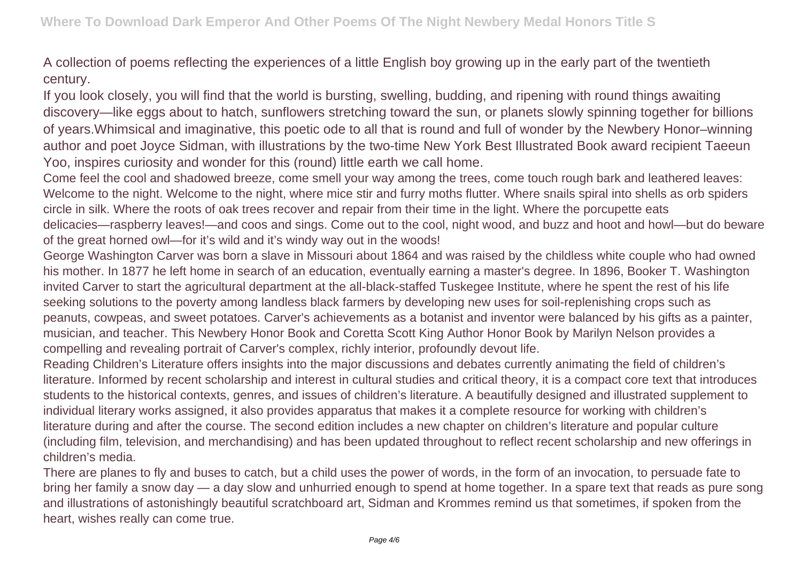A collection of poems reflecting the experiences of a little English boy growing up in the early part of the twentieth century.

If you look closely, you will find that the world is bursting, swelling, budding, and ripening with round things awaiting discovery—like eggs about to hatch, sunflowers stretching toward the sun, or planets slowly spinning together for billions of years.Whimsical and imaginative, this poetic ode to all that is round and full of wonder by the Newbery Honor–winning author and poet Joyce Sidman, with illustrations by the two-time New York Best Illustrated Book award recipient Taeeun Yoo, inspires curiosity and wonder for this (round) little earth we call home.

Come feel the cool and shadowed breeze, come smell your way among the trees, come touch rough bark and leathered leaves: Welcome to the night. Welcome to the night, where mice stir and furry moths flutter. Where snails spiral into shells as orb spiders circle in silk. Where the roots of oak trees recover and repair from their time in the light. Where the porcupette eats delicacies—raspberry leaves!—and coos and sings. Come out to the cool, night wood, and buzz and hoot and howl—but do beware of the great horned owl—for it's wild and it's windy way out in the woods!

George Washington Carver was born a slave in Missouri about 1864 and was raised by the childless white couple who had owned his mother. In 1877 he left home in search of an education, eventually earning a master's degree. In 1896, Booker T. Washington invited Carver to start the agricultural department at the all-black-staffed Tuskegee Institute, where he spent the rest of his life seeking solutions to the poverty among landless black farmers by developing new uses for soil-replenishing crops such as peanuts, cowpeas, and sweet potatoes. Carver's achievements as a botanist and inventor were balanced by his gifts as a painter, musician, and teacher. This Newbery Honor Book and Coretta Scott King Author Honor Book by Marilyn Nelson provides a compelling and revealing portrait of Carver's complex, richly interior, profoundly devout life.

Reading Children's Literature offers insights into the major discussions and debates currently animating the field of children's literature. Informed by recent scholarship and interest in cultural studies and critical theory, it is a compact core text that introduces students to the historical contexts, genres, and issues of children's literature. A beautifully designed and illustrated supplement to individual literary works assigned, it also provides apparatus that makes it a complete resource for working with children's literature during and after the course. The second edition includes a new chapter on children's literature and popular culture (including film, television, and merchandising) and has been updated throughout to reflect recent scholarship and new offerings in children's media.

There are planes to fly and buses to catch, but a child uses the power of words, in the form of an invocation, to persuade fate to bring her family a snow day — a day slow and unhurried enough to spend at home together. In a spare text that reads as pure song and illustrations of astonishingly beautiful scratchboard art, Sidman and Krommes remind us that sometimes, if spoken from the heart, wishes really can come true.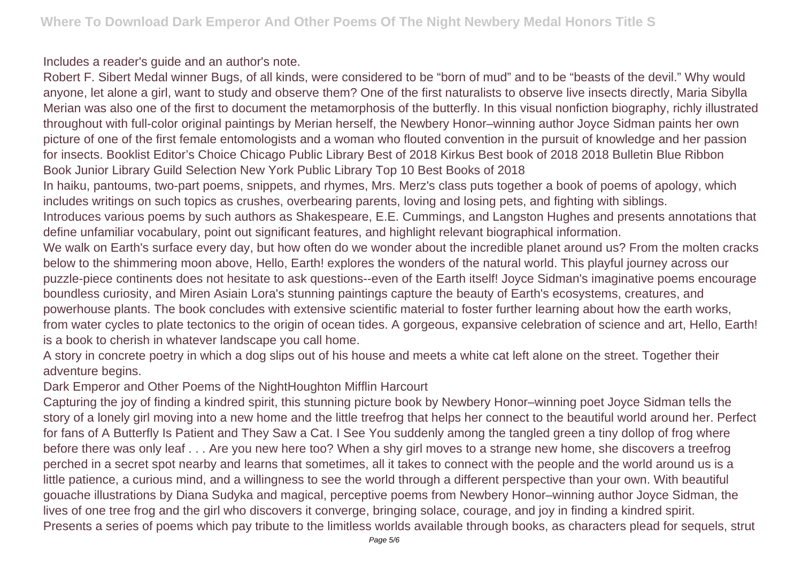Includes a reader's guide and an author's note.

Robert F. Sibert Medal winner Bugs, of all kinds, were considered to be "born of mud" and to be "beasts of the devil." Why would anyone, let alone a girl, want to study and observe them? One of the first naturalists to observe live insects directly, Maria Sibylla Merian was also one of the first to document the metamorphosis of the butterfly. In this visual nonfiction biography, richly illustrated throughout with full-color original paintings by Merian herself, the Newbery Honor–winning author Joyce Sidman paints her own picture of one of the first female entomologists and a woman who flouted convention in the pursuit of knowledge and her passion for insects. Booklist Editor's Choice Chicago Public Library Best of 2018 Kirkus Best book of 2018 2018 Bulletin Blue Ribbon Book Junior Library Guild Selection New York Public Library Top 10 Best Books of 2018

In haiku, pantoums, two-part poems, snippets, and rhymes, Mrs. Merz's class puts together a book of poems of apology, which includes writings on such topics as crushes, overbearing parents, loving and losing pets, and fighting with siblings.

Introduces various poems by such authors as Shakespeare, E.E. Cummings, and Langston Hughes and presents annotations that define unfamiliar vocabulary, point out significant features, and highlight relevant biographical information.

We walk on Earth's surface every day, but how often do we wonder about the incredible planet around us? From the molten cracks below to the shimmering moon above, Hello, Earth! explores the wonders of the natural world. This playful journey across our puzzle-piece continents does not hesitate to ask questions--even of the Earth itself! Joyce Sidman's imaginative poems encourage boundless curiosity, and Miren Asiain Lora's stunning paintings capture the beauty of Earth's ecosystems, creatures, and powerhouse plants. The book concludes with extensive scientific material to foster further learning about how the earth works, from water cycles to plate tectonics to the origin of ocean tides. A gorgeous, expansive celebration of science and art, Hello, Earth! is a book to cherish in whatever landscape you call home.

A story in concrete poetry in which a dog slips out of his house and meets a white cat left alone on the street. Together their adventure begins.

Dark Emperor and Other Poems of the NightHoughton Mifflin Harcourt

Capturing the joy of finding a kindred spirit, this stunning picture book by Newbery Honor–winning poet Joyce Sidman tells the story of a lonely girl moving into a new home and the little treefrog that helps her connect to the beautiful world around her. Perfect for fans of A Butterfly Is Patient and They Saw a Cat. I See You suddenly among the tangled green a tiny dollop of frog where before there was only leaf . . . Are you new here too? When a shy girl moves to a strange new home, she discovers a treefrog perched in a secret spot nearby and learns that sometimes, all it takes to connect with the people and the world around us is a little patience, a curious mind, and a willingness to see the world through a different perspective than your own. With beautiful gouache illustrations by Diana Sudyka and magical, perceptive poems from Newbery Honor–winning author Joyce Sidman, the lives of one tree frog and the girl who discovers it converge, bringing solace, courage, and joy in finding a kindred spirit. Presents a series of poems which pay tribute to the limitless worlds available through books, as characters plead for sequels, strut